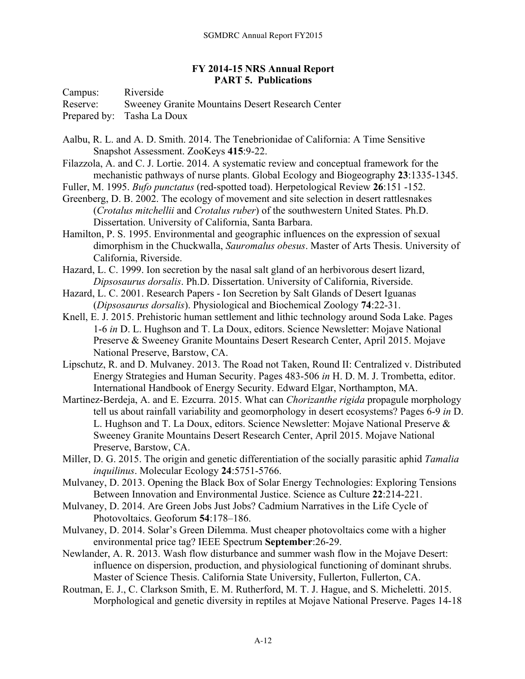## **FY 2014-15 NRS Annual Report PART 5. Publications**

Campus: Riverside Reserve: Sweeney Granite Mountains Desert Research Center Prepared by: Tasha La Doux

- Aalbu, R. L. and A. D. Smith. 2014. The Tenebrionidae of California: A Time Sensitive Snapshot Assessment. ZooKeys **415**:9-22.
- Filazzola, A. and C. J. Lortie. 2014. A systematic review and conceptual framework for the mechanistic pathways of nurse plants. Global Ecology and Biogeography **23**:1335-1345.
- Fuller, M. 1995. *Bufo punctatus* (red-spotted toad). Herpetological Review **26**:151 -152.

Greenberg, D. B. 2002. The ecology of movement and site selection in desert rattlesnakes (*Crotalus mitchellii* and *Crotalus ruber*) of the southwestern United States. Ph.D. Dissertation. University of California, Santa Barbara.

Hamilton, P. S. 1995. Environmental and geographic influences on the expression of sexual dimorphism in the Chuckwalla, *Sauromalus obesus*. Master of Arts Thesis. University of California, Riverside.

Hazard, L. C. 1999. Ion secretion by the nasal salt gland of an herbivorous desert lizard, *Dipsosaurus dorsalis*. Ph.D. Dissertation. University of California, Riverside.

Hazard, L. C. 2001. Research Papers - Ion Secretion by Salt Glands of Desert Iguanas (*Dipsosaurus dorsalis*). Physiological and Biochemical Zoology **74**:22-31.

- Knell, E. J. 2015. Prehistoric human settlement and lithic technology around Soda Lake. Pages 1-6 *in* D. L. Hughson and T. La Doux, editors. Science Newsletter: Mojave National Preserve & Sweeney Granite Mountains Desert Research Center, April 2015. Mojave National Preserve, Barstow, CA.
- Lipschutz, R. and D. Mulvaney. 2013. The Road not Taken, Round II: Centralized v. Distributed Energy Strategies and Human Security. Pages 483-506 *in* H. D. M. J. Trombetta, editor. International Handbook of Energy Security. Edward Elgar, Northampton, MA.
- Martinez-Berdeja, A. and E. Ezcurra. 2015. What can *Chorizanthe rigida* propagule morphology tell us about rainfall variability and geomorphology in desert ecosystems? Pages 6-9 *in* D. L. Hughson and T. La Doux, editors. Science Newsletter: Mojave National Preserve & Sweeney Granite Mountains Desert Research Center, April 2015. Mojave National Preserve, Barstow, CA.
- Miller, D. G. 2015. The origin and genetic differentiation of the socially parasitic aphid *Tamalia inquilinus*. Molecular Ecology **24**:5751-5766.
- Mulvaney, D. 2013. Opening the Black Box of Solar Energy Technologies: Exploring Tensions Between Innovation and Environmental Justice. Science as Culture **22**:214-221.
- Mulvaney, D. 2014. Are Green Jobs Just Jobs? Cadmium Narratives in the Life Cycle of Photovoltaics. Geoforum **54**:178–186.
- Mulvaney, D. 2014. Solar's Green Dilemma. Must cheaper photovoltaics come with a higher environmental price tag? IEEE Spectrum **September**:26-29.
- Newlander, A. R. 2013. Wash flow disturbance and summer wash flow in the Mojave Desert: influence on dispersion, production, and physiological functioning of dominant shrubs. Master of Science Thesis. California State University, Fullerton, Fullerton, CA.
- Routman, E. J., C. Clarkson Smith, E. M. Rutherford, M. T. J. Hague, and S. Micheletti. 2015. Morphological and genetic diversity in reptiles at Mojave National Preserve. Pages 14-18